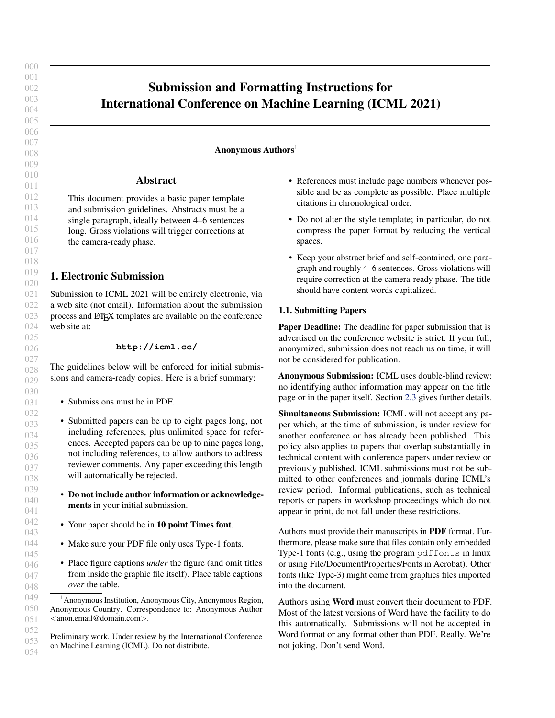# Submission and Formatting Instructions for International Conference on Machine Learning (ICML 2021)

## Anonymous Authors<sup>1</sup>

### Abstract

This document provides a basic paper template and submission guidelines. Abstracts must be a single paragraph, ideally between 4–6 sentences long. Gross violations will trigger corrections at the camera-ready phase.

## 1. Electronic Submission

Submission to ICML 2021 will be entirely electronic, via a web site (not email). Information about the submission process and LATEX templates are available on the conference web site at:

### **http://icml.cc/**

The guidelines below will be enforced for initial submissions and camera-ready copies. Here is a brief summary:

- Submissions must be in PDF.
- Submitted papers can be up to eight pages long, not including references, plus unlimited space for references. Accepted papers can be up to nine pages long, not including references, to allow authors to address reviewer comments. Any paper exceeding this length will automatically be rejected.
- Do not include author information or acknowledgements in your initial submission.
- Your paper should be in 10 point Times font.
- Make sure your PDF file only uses Type-1 fonts.
- Place figure captions *under* the figure (and omit titles from inside the graphic file itself). Place table captions *over* the table.
- References must include page numbers whenever possible and be as complete as possible. Place multiple citations in chronological order.
- Do not alter the style template; in particular, do not compress the paper format by reducing the vertical spaces.
- Keep your abstract brief and self-contained, one paragraph and roughly 4–6 sentences. Gross violations will require correction at the camera-ready phase. The title should have content words capitalized.

## 1.1. Submitting Papers

Paper Deadline: The deadline for paper submission that is advertised on the conference website is strict. If your full, anonymized, submission does not reach us on time, it will not be considered for publication.

Anonymous Submission: ICML uses double-blind review: no identifying author information may appear on the title page or in the paper itself. Section [2.3](#page-1-0) gives further details.

Simultaneous Submission: ICML will not accept any paper which, at the time of submission, is under review for another conference or has already been published. This policy also applies to papers that overlap substantially in technical content with conference papers under review or previously published. ICML submissions must not be submitted to other conferences and journals during ICML's review period. Informal publications, such as technical reports or papers in workshop proceedings which do not appear in print, do not fall under these restrictions.

Authors must provide their manuscripts in PDF format. Furthermore, please make sure that files contain only embedded Type-1 fonts (e.g., using the program pdffonts in linux or using File/DocumentProperties/Fonts in Acrobat). Other fonts (like Type-3) might come from graphics files imported into the document.

Authors using Word must convert their document to PDF. Most of the latest versions of Word have the facility to do this automatically. Submissions will not be accepted in Word format or any format other than PDF. Really. We're not joking. Don't send Word.

<sup>&</sup>lt;sup>1</sup> Anonymous Institution, Anonymous City, Anonymous Region, Anonymous Country. Correspondence to: Anonymous Author <anon.email@domain.com>.

Preliminary work. Under review by the International Conference on Machine Learning (ICML). Do not distribute.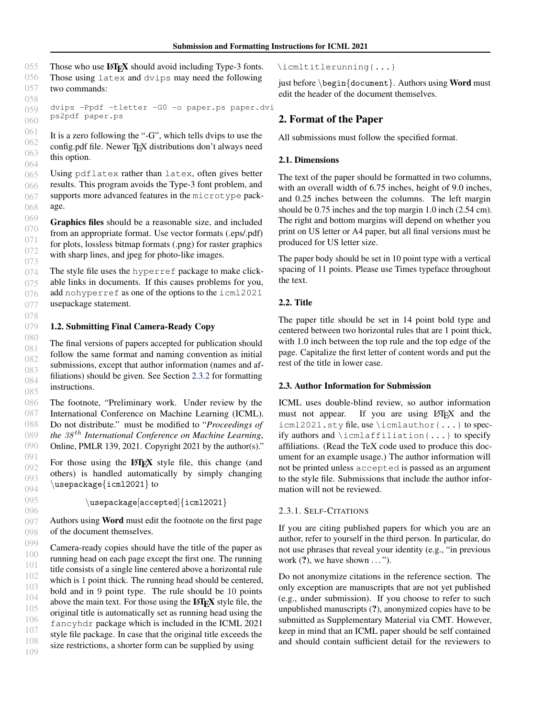<span id="page-1-0"></span>055 056 057 058 Those who use **LATEX** should avoid including Type-3 fonts. Those using latex and dvips may need the following two commands:

059 060 dvips -Ppdf -tletter -G0 -o paper.ps paper.dvi ps2pdf paper.ps

061 062 063 064 It is a zero following the "-G", which tells dvips to use the config.pdf file. Newer TEX distributions don't always need this option.

065 066 067 068 Using pdflatex rather than latex, often gives better results. This program avoids the Type-3 font problem, and supports more advanced features in the microtype package.

070 Graphics files should be a reasonable size, and included from an appropriate format. Use vector formats (.eps/.pdf) for plots, lossless bitmap formats (.png) for raster graphics with sharp lines, and jpeg for photo-like images.

The style file uses the hyperref package to make clickable links in documents. If this causes problems for you, add nohyperref as one of the options to the icml2021 usepackage statement.

#### 079 1.2. Submitting Final Camera-Ready Copy

069

080 081 082 083 084 085 The final versions of papers accepted for publication should follow the same format and naming convention as initial submissions, except that author information (names and affiliations) should be given. See Section [2.3.2](#page-2-0) for formatting instructions.

086 087 088 089 090 The footnote, "Preliminary work. Under review by the International Conference on Machine Learning (ICML). Do not distribute." must be modified to "*Proceedings of the* 38 th *International Conference on Machine Learning*, Online, PMLR 139, 2021. Copyright 2021 by the author(s)."

091 092 093 094 For those using the LATEX style file, this change (and others) is handled automatically by simply changing \usepackage{icml2021} to

\usepackage[accepted]{icml2021}

Authors using Word must edit the footnote on the first page of the document themselves.

099 100 101 102 103 104 105 106 107 108 109 Camera-ready copies should have the title of the paper as running head on each page except the first one. The running title consists of a single line centered above a horizontal rule which is 1 point thick. The running head should be centered, bold and in 9 point type. The rule should be 10 points above the main text. For those using the LAT<sub>E</sub>X style file, the original title is automatically set as running head using the fancyhdr package which is included in the ICML 2021 style file package. In case that the original title exceeds the size restrictions, a shorter form can be supplied by using

### \icmltitlerunning{...}

just before  $\begin{cases} \text{document} \end{cases}$ . Authors using **Word** must edit the header of the document themselves.

## 2. Format of the Paper

All submissions must follow the specified format.

## 2.1. Dimensions

The text of the paper should be formatted in two columns, with an overall width of 6.75 inches, height of 9.0 inches, and 0.25 inches between the columns. The left margin should be 0.75 inches and the top margin 1.0 inch (2.54 cm). The right and bottom margins will depend on whether you print on US letter or A4 paper, but all final versions must be produced for US letter size.

The paper body should be set in 10 point type with a vertical spacing of 11 points. Please use Times typeface throughout the text.

## 2.2. Title

The paper title should be set in 14 point bold type and centered between two horizontal rules that are 1 point thick, with 1.0 inch between the top rule and the top edge of the page. Capitalize the first letter of content words and put the rest of the title in lower case.

## 2.3. Author Information for Submission

ICML uses double-blind review, so author information must not appear. If you are using LATEX and the icml2021.sty file, use \icmlauthor{...} to specify authors and \icmlaffiliation{...} to specify affiliations. (Read the TeX code used to produce this document for an example usage.) The author information will not be printed unless accepted is passed as an argument to the style file. Submissions that include the author information will not be reviewed.

## 2.3.1. SELF-CITATIONS

If you are citing published papers for which you are an author, refer to yourself in the third person. In particular, do not use phrases that reveal your identity (e.g., "in previous work  $(?)$ , we have shown  $\dots$ ").

Do not anonymize citations in the reference section. The only exception are manuscripts that are not yet published (e.g., under submission). If you choose to refer to such unpublished manuscripts (?), anonymized copies have to be submitted as Supplementary Material via CMT. However, keep in mind that an ICML paper should be self contained and should contain sufficient detail for the reviewers to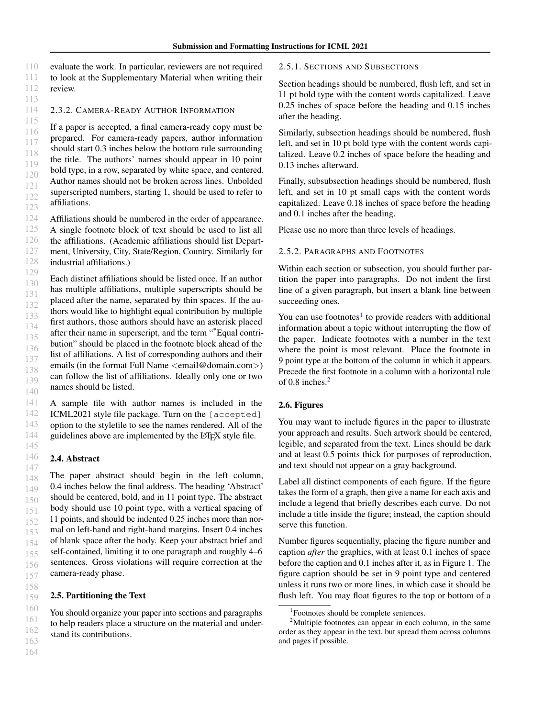<span id="page-2-0"></span>110 111 112 113 evaluate the work. In particular, reviewers are not required to look at the Supplementary Material when writing their review.

#### 114 2.3.2. CAMERA-READY AUTHOR INFORMATION

115 116 117 118 119 120 121 122 123 If a paper is accepted, a final camera-ready copy must be prepared. For camera-ready papers, author information should start 0.3 inches below the bottom rule surrounding the title. The authors' names should appear in 10 point bold type, in a row, separated by white space, and centered. Author names should not be broken across lines. Unbolded superscripted numbers, starting 1, should be used to refer to affiliations.

124 125 126 127 128 Affiliations should be numbered in the order of appearance. A single footnote block of text should be used to list all the affiliations. (Academic affiliations should list Department, University, City, State/Region, Country. Similarly for industrial affiliations.)

129 130 131 132 133 134 135 136 137 138 139 140 Each distinct affiliations should be listed once. If an author has multiple affiliations, multiple superscripts should be placed after the name, separated by thin spaces. If the authors would like to highlight equal contribution by multiple first authors, those authors should have an asterisk placed after their name in superscript, and the term "\*Equal contribution" should be placed in the footnote block ahead of the list of affiliations. A list of corresponding authors and their emails (in the format Full Name <email@domain.com>) can follow the list of affiliations. Ideally only one or two names should be listed.

141 142 143 144 A sample file with author names is included in the ICML2021 style file package. Turn on the [accepted] option to the stylefile to see the names rendered. All of the guidelines above are implemented by the L<sup>AT</sup>EX style file.

## 2.4. Abstract

145 146

158

147 148 149 150 151 152 153 154 155 156 157 The paper abstract should begin in the left column, 0.4 inches below the final address. The heading 'Abstract' should be centered, bold, and in 11 point type. The abstract body should use 10 point type, with a vertical spacing of 11 points, and should be indented 0.25 inches more than normal on left-hand and right-hand margins. Insert 0.4 inches of blank space after the body. Keep your abstract brief and self-contained, limiting it to one paragraph and roughly 4–6 sentences. Gross violations will require correction at the camera-ready phase.

#### 159 2.5. Partitioning the Text

You should organize your paper into sections and paragraphs to help readers place a structure on the material and understand its contributions.

### 2.5.1. SECTIONS AND SUBSECTIONS

Section headings should be numbered, flush left, and set in 11 pt bold type with the content words capitalized. Leave 0.25 inches of space before the heading and 0.15 inches after the heading.

Similarly, subsection headings should be numbered, flush left, and set in 10 pt bold type with the content words capitalized. Leave 0.2 inches of space before the heading and 0.13 inches afterward.

Finally, subsubsection headings should be numbered, flush left, and set in 10 pt small caps with the content words capitalized. Leave 0.18 inches of space before the heading and 0.1 inches after the heading.

Please use no more than three levels of headings.

### 2.5.2. PARAGRAPHS AND FOOTNOTES

Within each section or subsection, you should further partition the paper into paragraphs. Do not indent the first line of a given paragraph, but insert a blank line between succeeding ones.

You can use footnotes<sup>1</sup> to provide readers with additional information about a topic without interrupting the flow of the paper. Indicate footnotes with a number in the text where the point is most relevant. Place the footnote in 9 point type at the bottom of the column in which it appears. Precede the first footnote in a column with a horizontal rule of 0.8 inches.<sup>2</sup>

### 2.6. Figures

You may want to include figures in the paper to illustrate your approach and results. Such artwork should be centered, legible, and separated from the text. Lines should be dark and at least 0.5 points thick for purposes of reproduction, and text should not appear on a gray background.

Label all distinct components of each figure. If the figure takes the form of a graph, then give a name for each axis and include a legend that briefly describes each curve. Do not include a title inside the figure; instead, the caption should serve this function.

Number figures sequentially, placing the figure number and caption *after* the graphics, with at least 0.1 inches of space before the caption and 0.1 inches after it, as in Figure [1.](#page-3-0) The figure caption should be set in 9 point type and centered unless it runs two or more lines, in which case it should be flush left. You may float figures to the top or bottom of a

<sup>1</sup> Footnotes should be complete sentences.

 $2^2$ Multiple footnotes can appear in each column, in the same order as they appear in the text, but spread them across columns and pages if possible.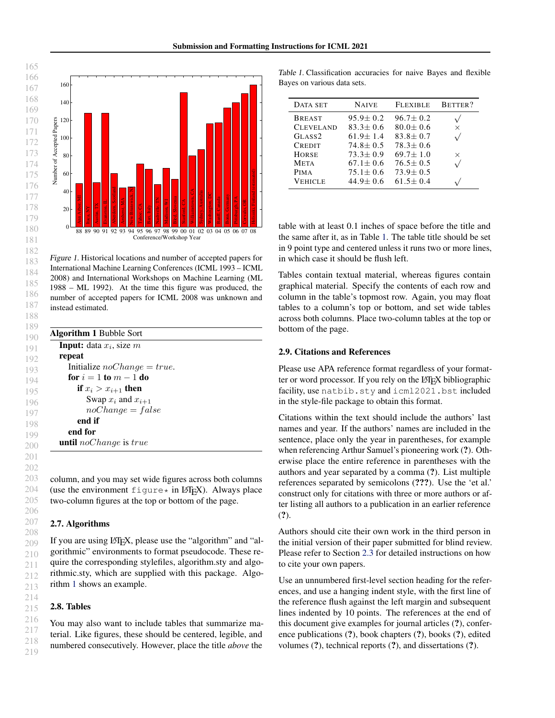<span id="page-3-0"></span>

Figure 1. Historical locations and number of accepted papers for International Machine Learning Conferences (ICML 1993 – ICML 2008) and International Workshops on Machine Learning (ML 1988 – ML 1992). At the time this figure was produced, the number of accepted papers for ICML 2008 was unknown and instead estimated.

|        | <b>Input:</b> data $x_i$ , size m |
|--------|-----------------------------------|
| repeat |                                   |
|        | Initialize $noChange = true$ .    |
|        | for $i=1$ to $m-1$ do             |
|        | if $x_i > x_{i+1}$ then           |
|        | Swap $x_i$ and $x_{i+1}$          |
|        | $noChange = false$                |
|        | end if                            |
|        | end for                           |
|        | <b>until</b> noChange is true     |

column, and you may set wide figures across both columns (use the environment  $figure*$  in  $LATEX$ ). Always place two-column figures at the top or bottom of the page.

### 2.7. Algorithms

208 209 210 211 212 213 If you are using LAT<sub>EX</sub>, please use the "algorithm" and "algorithmic" environments to format pseudocode. These require the corresponding stylefiles, algorithm.sty and algorithmic.sty, which are supplied with this package. Algorithm 1 shows an example.

### 2.8. Tables

You may also want to include tables that summarize material. Like figures, these should be centered, legible, and numbered consecutively. However, place the title *above* the

Table 1. Classification accuracies for naive Bayes and flexible Bayes on various data sets.

| DATA SET           | <b>NAIVE</b>   | <b>FLEXIBLE</b> | BETTER?  |
|--------------------|----------------|-----------------|----------|
| <b>BREAST</b>      | $95.9 \pm 0.2$ | $96.7 + 0.2$    |          |
| <b>CLEVELAND</b>   | $83.3 \pm 0.6$ | $80.0 + 0.6$    | X        |
| GLASS <sub>2</sub> | $61.9 + 1.4$   | $83.8 + 0.7$    |          |
| <b>CREDIT</b>      | $74.8 + 0.5$   | $78.3 + 0.6$    |          |
| <b>HORSE</b>       | $73.3 + 0.9$   | $69.7 + 1.0$    | $\times$ |
| <b>META</b>        | $67.1 + 0.6$   | $76.5 \pm 0.5$  |          |
| <b>PIMA</b>        | $75.1 + 0.6$   | $73.9 \pm 0.5$  |          |
| Vehicle            | $44.9 \pm 0.6$ | $61.5 + 0.4$    |          |

table with at least 0.1 inches of space before the title and the same after it, as in Table 1. The table title should be set in 9 point type and centered unless it runs two or more lines, in which case it should be flush left.

Tables contain textual material, whereas figures contain graphical material. Specify the contents of each row and column in the table's topmost row. Again, you may float tables to a column's top or bottom, and set wide tables across both columns. Place two-column tables at the top or bottom of the page.

### 2.9. Citations and References

Please use APA reference format regardless of your formatter or word processor. If you rely on the LAT<sub>EX</sub> bibliographic facility, use natbib.sty and icml2021.bst included in the style-file package to obtain this format.

Citations within the text should include the authors' last names and year. If the authors' names are included in the sentence, place only the year in parentheses, for example when referencing Arthur Samuel's pioneering work (?). Otherwise place the entire reference in parentheses with the authors and year separated by a comma (?). List multiple references separated by semicolons (???). Use the 'et al.' construct only for citations with three or more authors or after listing all authors to a publication in an earlier reference (?).

Authors should cite their own work in the third person in the initial version of their paper submitted for blind review. Please refer to Section [2.3](#page-1-0) for detailed instructions on how to cite your own papers.

Use an unnumbered first-level section heading for the references, and use a hanging indent style, with the first line of the reference flush against the left margin and subsequent lines indented by 10 points. The references at the end of this document give examples for journal articles (?), conference publications (?), book chapters (?), books (?), edited volumes (?), technical reports (?), and dissertations (?).